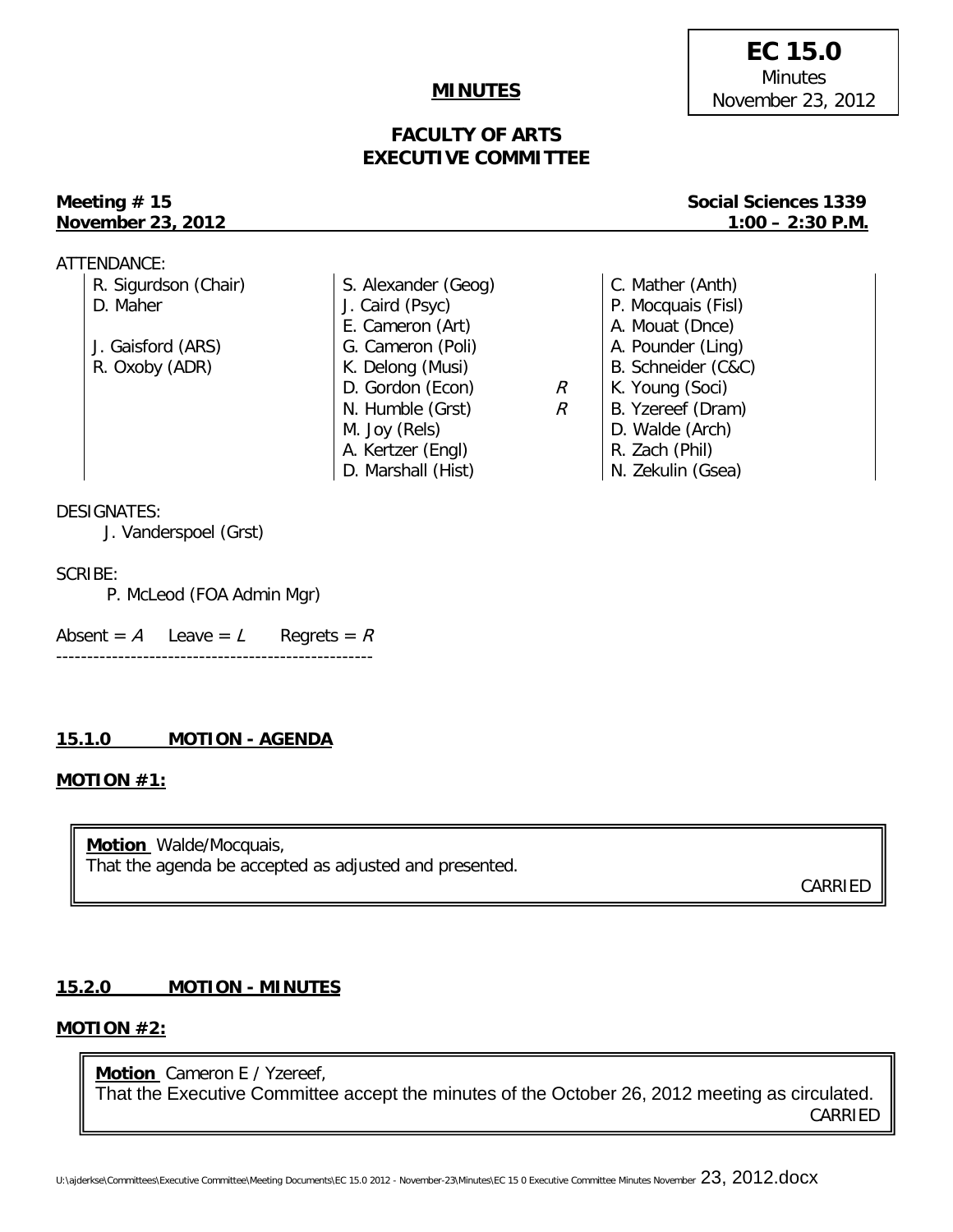### **MINUTES**

# **FACULTY OF ARTS EXECUTIVE COMMITTEE**

# **November 23, 2012 1:00 – 2:30 P.M.**

**Meeting # 15** Social Sciences 1339

| ATTENDANCE:          |                     |   |                    |
|----------------------|---------------------|---|--------------------|
| R. Sigurdson (Chair) | S. Alexander (Geog) |   | C. Mather (Anth)   |
| D. Maher             | J. Caird (Psyc)     |   | P. Mocquais (Fisl) |
|                      | E. Cameron (Art)    |   | A. Mouat (Dnce)    |
| J. Gaisford (ARS)    | G. Cameron (Poli)   |   | A. Pounder (Ling)  |
| R. Oxoby (ADR)       | K. Delong (Musi)    |   | B. Schneider (C&C) |
|                      | D. Gordon (Econ)    | R | K. Young (Soci)    |
|                      | N. Humble (Grst)    | R | B. Yzereef (Dram)  |
|                      | M. Joy (Rels)       |   | D. Walde (Arch)    |
|                      | A. Kertzer (Engl)   |   | R. Zach (Phil)     |
|                      | D. Marshall (Hist)  |   | N. Zekulin (Gsea)  |

#### DESIGNATES:

J. Vanderspoel (Grst)

#### SCRIBE:

P. McLeod (FOA Admin Mgr)

Absent =  $A$  Leave =  $L$  Regrets =  $R$ ---------------------------------------------------

### **15.1.0 MOTION - AGENDA**

#### **MOTION #1:**

**Motion** Walde/Mocquais, That the agenda be accepted as adjusted and presented.

CARRIED

# **15.2.0 MOTION - MINUTES**

# **MOTION #2:**

**Motion** Cameron E / Yzereef, That the Executive Committee accept the minutes of the October 26, 2012 meeting as circulated. CARRIED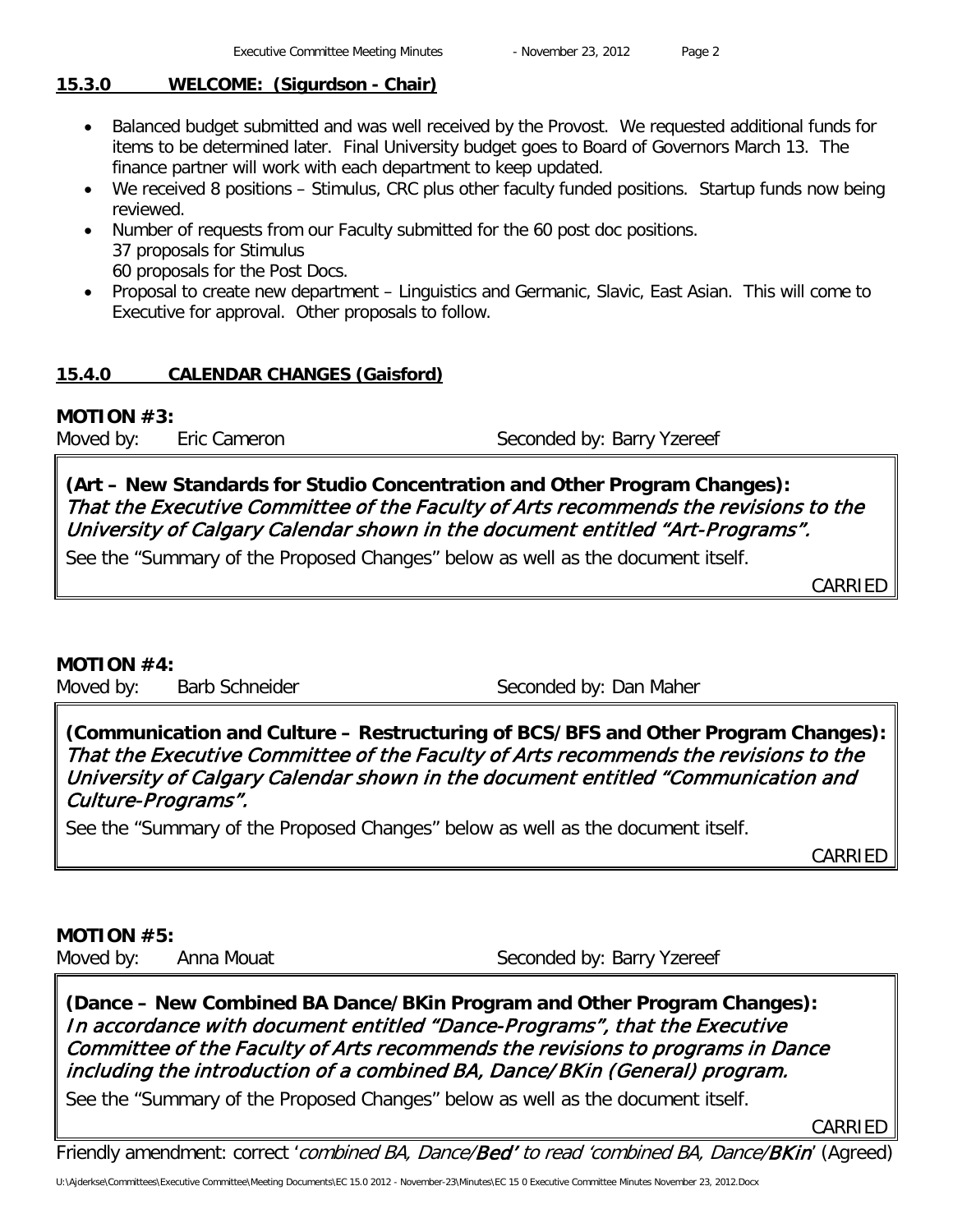# **15.3.0 WELCOME: (Sigurdson - Chair)**

- Balanced budget submitted and was well received by the Provost. We requested additional funds for items to be determined later. Final University budget goes to Board of Governors March 13. The finance partner will work with each department to keep updated.
- We received 8 positions Stimulus, CRC plus other faculty funded positions. Startup funds now being reviewed.
- Number of requests from our Faculty submitted for the 60 post doc positions. 37 proposals for Stimulus 60 proposals for the Post Docs.
- Proposal to create new department Linguistics and Germanic, Slavic, East Asian. This will come to Executive for approval. Other proposals to follow.

# **15.4.0 CALENDAR CHANGES (Gaisford)**

# **MOTION #3:**

Moved by: Eric Cameron Seconded by: Barry Yzereef

**(Art – New Standards for Studio Concentration and Other Program Changes):**  That the Executive Committee of the Faculty of Arts recommends the revisions to the University of Calgary Calendar shown in the document entitled "Art-Programs".

See the "Summary of the Proposed Changes" below as well as the document itself.

CARRIED

# **MOTION #4:**

Moved by: Barb Schneider Seconded by: Dan Maher

**(Communication and Culture – Restructuring of BCS/BFS and Other Program Changes):**  That the Executive Committee of the Faculty of Arts recommends the revisions to the University of Calgary Calendar shown in the document entitled "Communication and Culture-Programs".

See the "Summary of the Proposed Changes" below as well as the document itself.

CARRIED

# **MOTION #5:**

Moved by: Anna Mouat Seconded by: Barry Yzereef

**(Dance – New Combined BA Dance/BKin Program and Other Program Changes):**  In accordance with document entitled "Dance-Programs", that the Executive Committee of the Faculty of Arts recommends the revisions to programs in Dance including the introduction of a combined BA, Dance/ BKin (General) program.

See the "Summary of the Proposed Changes" below as well as the document itself.

CARRIED

Friendly amendment: correct 'combined BA, Dance/Bed' to read 'combined BA, Dance/BKin' (Agreed)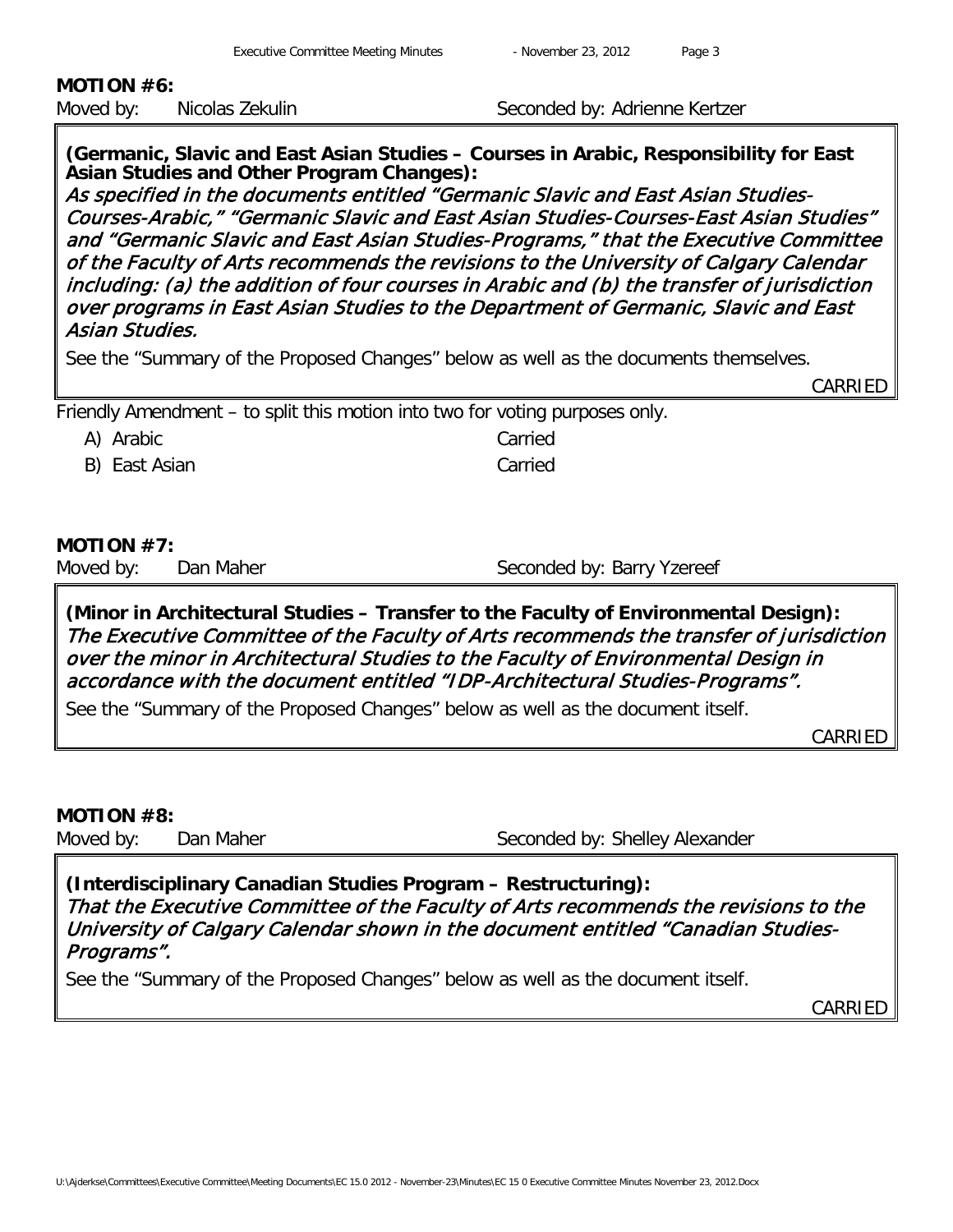# **MOTION #6:**

Moved by: Nicolas Zekulin Seconded by: Adrienne Kertzer

**(Germanic, Slavic and East Asian Studies – Courses in Arabic, Responsibility for East Asian Studies and Other Program Changes):** 

As specified in the documents entitled "Germanic Slavic and East Asian Studies-Courses-Arabic," "Germanic Slavic and East Asian Studies-Courses-East Asian Studies" and "Germanic Slavic and East Asian Studies-Programs," that the Executive Committee of the Faculty of Arts recommends the revisions to the University of Calgary Calendar including: (a) the addition of four courses in Arabic and (b) the transfer of jurisdiction over programs in East Asian Studies to the Department of Germanic, Slavic and East Asian Studies.

See the "Summary of the Proposed Changes" below as well as the documents themselves.

CARRIED

Friendly Amendment – to split this motion into two for voting purposes only.

A) Arabic Carried

B) East Asian Carried

# **MOTION #7:**

Moved by: Dan Maher Seconded by: Barry Yzereef

**(Minor in Architectural Studies – Transfer to the Faculty of Environmental Design):**  The Executive Committee of the Faculty of Arts recommends the transfer of jurisdiction over the minor in Architectural Studies to the Faculty of Environmental Design in accordance with the document entitled "IDP-Architectural Studies-Programs".

See the "Summary of the Proposed Changes" below as well as the document itself.

CARRIED

# **MOTION #8:**

Moved by: Dan Maher Seconded by: Shelley Alexander

**(Interdisciplinary Canadian Studies Program – Restructuring):**  That the Executive Committee of the Faculty of Arts recommends the revisions to the University of Calgary Calendar shown in the document entitled "Canadian Studies-Programs".

See the "Summary of the Proposed Changes" below as well as the document itself.

CARRIED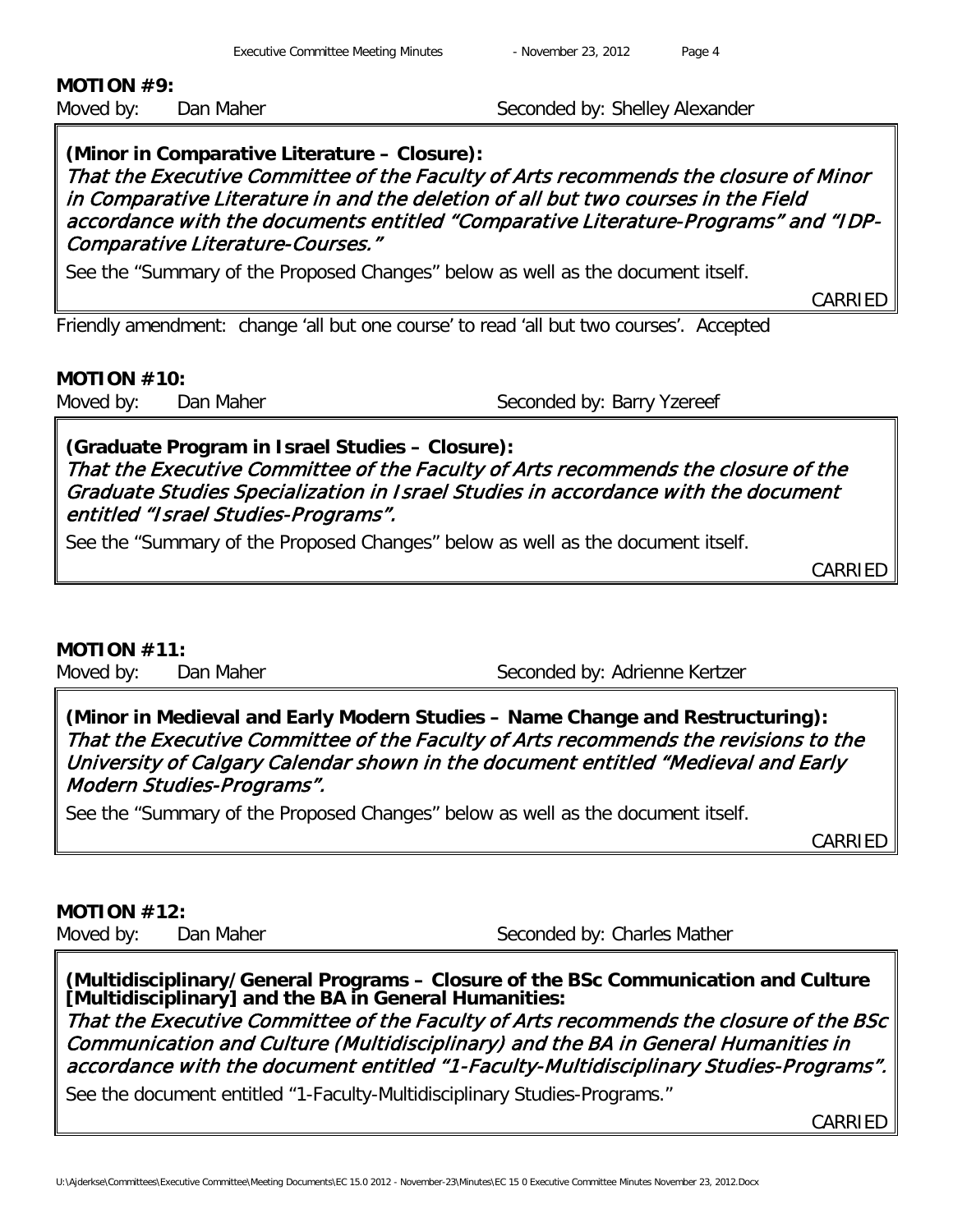# **MOTION #9:**

Moved by: Dan Maher Seconded by: Shelley Alexander

# **(Minor in Comparative Literature – Closure):**  That the Executive Committee of the Faculty of Arts recommends the closure of Minor in Comparative Literature in and the deletion of all but two courses in the Field accordance with the documents entitled "Comparative Literature-Programs" and "IDP-Comparative Literature-Courses."

See the "Summary of the Proposed Changes" below as well as the document itself.

CARRIED

Friendly amendment: change 'all but one course' to read 'all but two courses'. Accepted

### **MOTION #10:**

Moved by: Dan Maher Seconded by: Barry Yzereef

**(Graduate Program in Israel Studies – Closure):**  That the Executive Committee of the Faculty of Arts recommends the closure of the Graduate Studies Specialization in Israel Studies in accordance with the document entitled "Israel Studies-Programs".

See the "Summary of the Proposed Changes" below as well as the document itself.

CARRIED

### **MOTION #11:**

Moved by: Dan Maher Seconded by: Adrienne Kertzer

**(Minor in Medieval and Early Modern Studies – Name Change and Restructuring):**  That the Executive Committee of the Faculty of Arts recommends the revisions to the University of Calgary Calendar shown in the document entitled "Medieval and Early Modern Studies-Programs".

See the "Summary of the Proposed Changes" below as well as the document itself.

CARRIED

# **MOTION #12:**

Moved by: Dan Maher Seconded by: Charles Mather

**(Multidisciplinary/General Programs – Closure of the BSc Communication and Culture [Multidisciplinary] and the BA in General Humanities:** 

That the Executive Committee of the Faculty of Arts recommends the closure of the BSc Communication and Culture (Multidisciplinary) and the BA in General Humanities in accordance with the document entitled "1-Faculty-Multidisciplinary Studies-Programs".

See the document entitled "1-Faculty-Multidisciplinary Studies-Programs."

CARRIED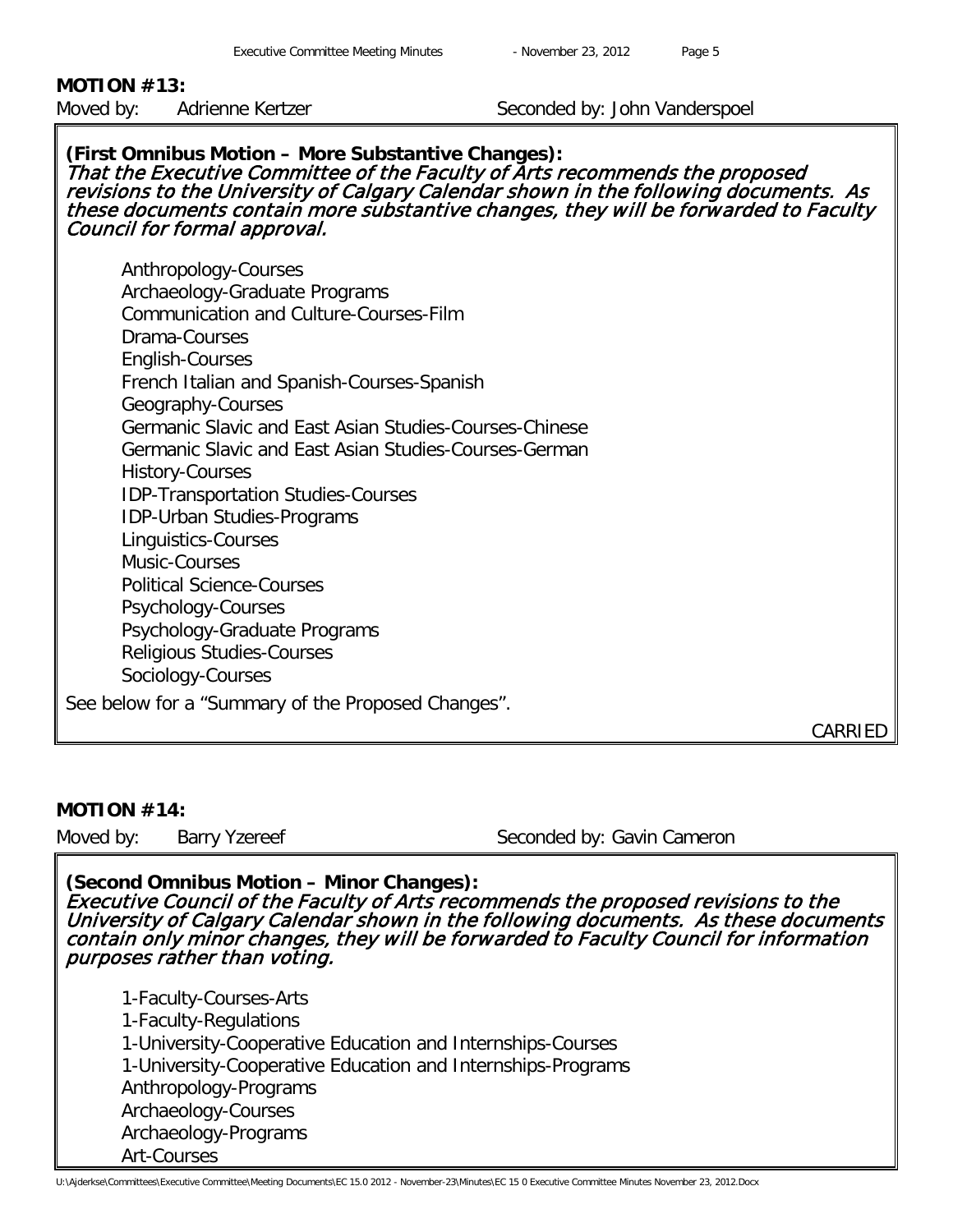# **MOTION #13:**

Moved by: Adrienne Kertzer Seconded by: John Vanderspoel

#### **(First Omnibus Motion – More Substantive Changes):** That the Executive Committee of the Faculty of Arts recommends the proposed revisions to the University of Calgary Calendar shown in the following documents. As these documents contain more substantive changes, they will be forwarded to Faculty Council for formal approval.

Anthropology-Courses Archaeology-Graduate Programs Communication and Culture-Courses-Film Drama-Courses English-Courses French Italian and Spanish-Courses-Spanish Geography-Courses Germanic Slavic and East Asian Studies-Courses-Chinese Germanic Slavic and East Asian Studies-Courses-German History-Courses IDP-Transportation Studies-Courses IDP-Urban Studies-Programs Linguistics-Courses Music-Courses Political Science-Courses Psychology-Courses Psychology-Graduate Programs Religious Studies-Courses Sociology-Courses

See below for a "Summary of the Proposed Changes".

CARRIED

### **MOTION #14:**

Moved by: Barry Yzereef Seconded by: Gavin Cameron

**(Second Omnibus Motion – Minor Changes):** Executive Council of the Faculty of Arts recommends the proposed revisions to the University of Calgary Calendar shown in the following documents. As these documents contain only minor changes, they will be forwarded to Faculty Council for information purposes rather than voting.

1-Faculty-Courses-Arts 1-Faculty-Regulations 1-University-Cooperative Education and Internships-Courses 1-University-Cooperative Education and Internships-Programs Anthropology-Programs Archaeology-Courses Archaeology-Programs Art-Courses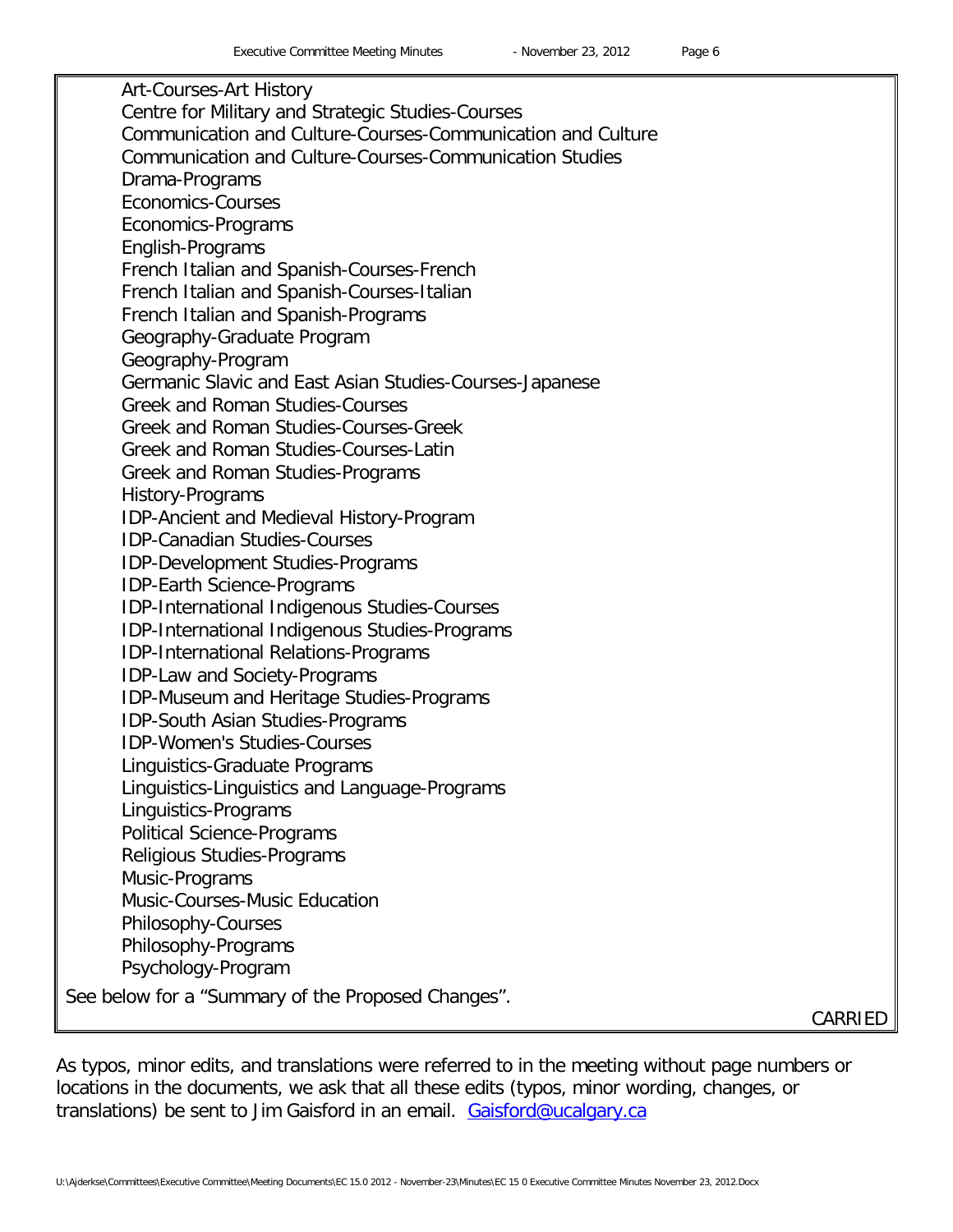Art-Courses-Art History Centre for Military and Strategic Studies-Courses Communication and Culture-Courses-Communication and Culture Communication and Culture-Courses-Communication Studies Drama-Programs Economics-Courses Economics-Programs English-Programs French Italian and Spanish-Courses-French French Italian and Spanish-Courses-Italian French Italian and Spanish-Programs Geography-Graduate Program Geography-Program Germanic Slavic and East Asian Studies-Courses-Japanese Greek and Roman Studies-Courses Greek and Roman Studies-Courses-Greek Greek and Roman Studies-Courses-Latin Greek and Roman Studies-Programs History-Programs IDP-Ancient and Medieval History-Program IDP-Canadian Studies-Courses IDP-Development Studies-Programs IDP-Earth Science-Programs IDP-International Indigenous Studies-Courses IDP-International Indigenous Studies-Programs IDP-International Relations-Programs IDP-Law and Society-Programs IDP-Museum and Heritage Studies-Programs IDP-South Asian Studies-Programs IDP-Women's Studies-Courses Linguistics-Graduate Programs Linguistics-Linguistics and Language-Programs Linguistics-Programs Political Science-Programs Religious Studies-Programs Music-Programs Music-Courses-Music Education Philosophy-Courses Philosophy-Programs Psychology-Program See below for a "Summary of the Proposed Changes".

CARRIED

As typos, minor edits, and translations were referred to in the meeting without page numbers or locations in the documents, we ask that all these edits (typos, minor wording, changes, or translations) be sent to Jim Gaisford in an email. [Gaisford@ucalgary.ca](mailto:Gaisford@ucalgary.ca)